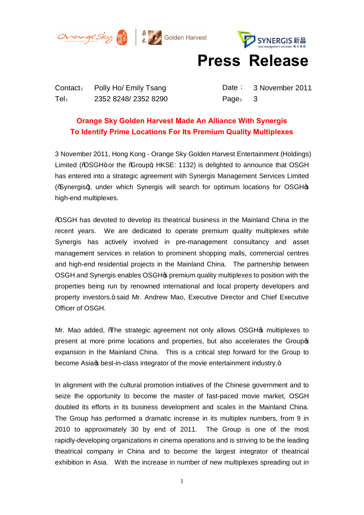





## **Press Release**

Contact: Polly Ho/ Emily Tsang Date: 3 November 2011 Tel: 2352 8248/ 2352 8290 Page: 3

## **Orange Sky Golden Harvest Made An Alliance With Synergis To Identify Prime Locations For Its Premium Quality Multiplexes**

3 November 2011, Hong Kong - Orange Sky Golden Harvest Entertainment (Holdings) Limited (% $\triangle$ SGH+ or the % $\angle$  roup+; HKSE: 1132) is delighted to announce that OSGH has entered into a strategic agreement with Synergis Management Services Limited (%) (%) (%) (%) are gishion for optimum locations for OSGH(\mumi continum locations for OSGH(\mumi c) high-end multiplexes.

"OSGH has devoted to develop its theatrical business in the Mainland China in the recent years. We are dedicated to operate premium quality multiplexes while Synergis has actively involved in pre-management consultancy and asset management services in relation to prominent shopping malls, commercial centres and high-end residential projects in the Mainland China. The partnership between OSGH and Synergis enables OSGH's premium quality multiplexes to position with the properties being run by renowned international and local property developers and property investors." said Mr. Andrew Mao, Executive Director and Chief Executive Officer of OSGH.

Mr. Mao added, The strategic agreement not only allows OSGH& multiplexes to present at more prime locations and properties, but also accelerates the Group's expansion in the Mainland China. This is a critical step forward for the Group to become Asia & best-in-class integrator of the movie entertainment industry.+

In alignment with the cultural promotion initiatives of the Chinese government and to seize the opportunity to become the master of fast-paced movie market, OSGH doubled its efforts in its business development and scales in the Mainland China. The Group has performed a dramatic increase in its multiplex numbers, from 9 in 2010 to approximately 30 by end of 2011. The Group is one of the most rapidly-developing organizations in cinema operations and is striving to be the leading theatrical company in China and to become the largest integrator of theatrical exhibition in Asia. With the increase in number of new multiplexes spreading out in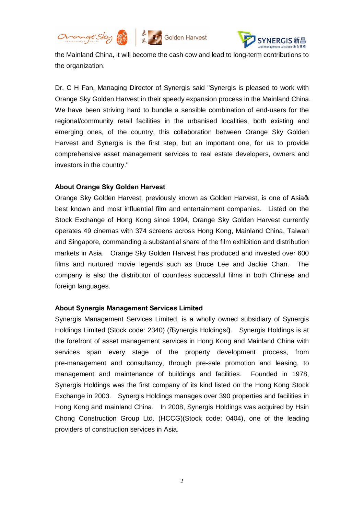





the Mainland China, it will become the cash cow and lead to long-term contributions to the organization.

Dr. C H Fan, Managing Director of Synergis said "Synergis is pleased to work with Orange Sky Golden Harvest in their speedy expansion process in the Mainland China. We have been striving hard to bundle a sensible combination of end-users for the regional/community retail facilities in the urbanised localities, both existing and emerging ones, of the country, this collaboration between Orange Sky Golden Harvest and Synergis is the first step, but an important one, for us to provide comprehensive asset management services to real estate developers, owners and investors in the country."

## **About Orange Sky Golden Harvest**

Orange Sky Golden Harvest, previously known as Golden Harvest, is one of Asia best known and most influential film and entertainment companies. Listed on the Stock Exchange of Hong Kong since 1994, Orange Sky Golden Harvest currently operates 49 cinemas with 374 screens across Hong Kong, Mainland China, Taiwan and Singapore, commanding a substantial share of the film exhibition and distribution markets in Asia. Orange Sky Golden Harvest has produced and invested over 600 films and nurtured movie legends such as Bruce Lee and Jackie Chan. The company is also the distributor of countless successful films in both Chinese and foreign languages.

## **About Synergis Management Services Limited**

Synergis Management Services Limited, is a wholly owned subsidiary of Synergis Holdings Limited (Stock code: 2340) (% ynergis Holdings+). Synergis Holdings is at the forefront of asset management services in Hong Kong and Mainland China with services span every stage of the property development process, from pre-management and consultancy, through pre-sale promotion and leasing, to management and maintenance of buildings and facilities. Founded in 1978, Synergis Holdings was the first company of its kind listed on the Hong Kong Stock Exchange in 2003. Synergis Holdings manages over 390 properties and facilities in Hong Kong and mainland China. In 2008, Synergis Holdings was acquired by Hsin Chong Construction Group Ltd. (HCCG)(Stock code: 0404), one of the leading providers of construction services in Asia.